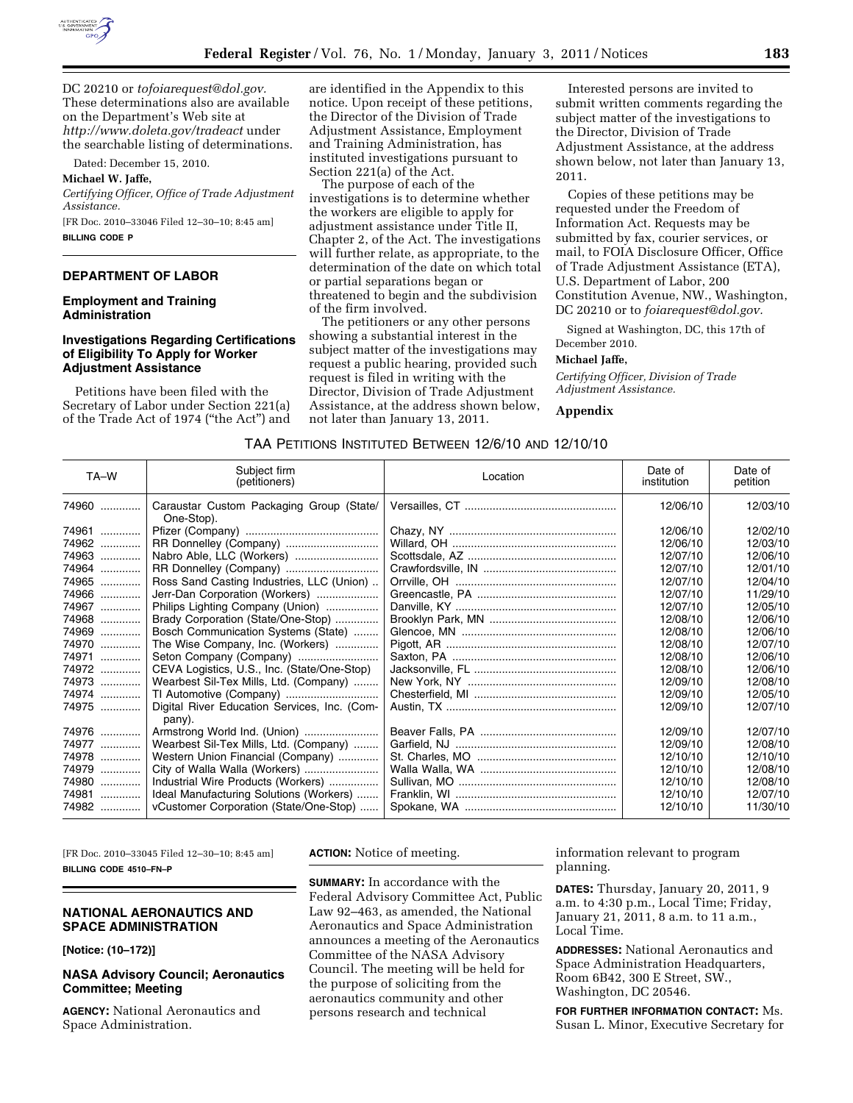

DC 20210 or *tofoiarequest@dol.gov.*  These determinations also are available on the Department's Web site at *http://www.doleta.gov/tradeact* under the searchable listing of determinations.

Dated: December 15, 2010.

**Michael W. Jaffe,** 

*Certifying Officer, Office of Trade Adjustment Assistance.*  [FR Doc. 2010–33046 Filed 12–30–10; 8:45 am]

**BILLING CODE P** 

# **DEPARTMENT OF LABOR**

### **Employment and Training Administration**

## **Investigations Regarding Certifications of Eligibility To Apply for Worker Adjustment Assistance**

Petitions have been filed with the Secretary of Labor under Section 221(a) of the Trade Act of 1974 (''the Act'') and

are identified in the Appendix to this notice. Upon receipt of these petitions, the Director of the Division of Trade Adjustment Assistance, Employment and Training Administration, has instituted investigations pursuant to Section 221(a) of the Act.

The purpose of each of the investigations is to determine whether the workers are eligible to apply for adjustment assistance under Title II, Chapter 2, of the Act. The investigations will further relate, as appropriate, to the determination of the date on which total or partial separations began or threatened to begin and the subdivision of the firm involved.

The petitioners or any other persons showing a substantial interest in the subject matter of the investigations may request a public hearing, provided such request is filed in writing with the Director, Division of Trade Adjustment Assistance, at the address shown below, not later than January 13, 2011.

Interested persons are invited to submit written comments regarding the subject matter of the investigations to the Director, Division of Trade Adjustment Assistance, at the address shown below, not later than January 13, 2011.

Copies of these petitions may be requested under the Freedom of Information Act. Requests may be submitted by fax, courier services, or mail, to FOIA Disclosure Officer, Office of Trade Adjustment Assistance (ETA), U.S. Department of Labor, 200 Constitution Avenue, NW., Washington, DC 20210 or to *foiarequest@dol.gov.* 

Signed at Washington, DC, this 17th of December 2010.

#### **Michael Jaffe,**

*Certifying Officer, Division of Trade Adjustment Assistance.* 

#### **Appendix**

#### TAA PETITIONS INSTITUTED BETWEEN 12/6/10 AND 12/10/10

| TA-W       | Subject firm<br>(petitioners)                          | Location | Date of<br>institution | Date of<br>petition |
|------------|--------------------------------------------------------|----------|------------------------|---------------------|
| 74960      | Caraustar Custom Packaging Group (State/<br>One-Stop). |          | 12/06/10               | 12/03/10            |
| 74961      |                                                        |          | 12/06/10               | 12/02/10            |
| 74962      |                                                        |          | 12/06/10               | 12/03/10            |
| 74963      |                                                        |          | 12/07/10               | 12/06/10            |
| 74964      | RR Donnelley (Company)                                 |          | 12/07/10               | 12/01/10            |
| 74965      | Ross Sand Casting Industries, LLC (Union)              |          | 12/07/10               | 12/04/10            |
| 74966      | Jerr-Dan Corporation (Workers)                         |          | 12/07/10               | 11/29/10            |
| 74967      | Philips Lighting Company (Union)                       |          | 12/07/10               | 12/05/10            |
| 74968      | Brady Corporation (State/One-Stop)                     |          | 12/08/10               | 12/06/10            |
| 74969      | Bosch Communication Systems (State)                    |          | 12/08/10               | 12/06/10            |
| 74970      | The Wise Company, Inc. (Workers)                       |          | 12/08/10               | 12/07/10            |
| 74971      | Seton Company (Company)                                |          | 12/08/10               | 12/06/10            |
| 74972      | CEVA Logistics, U.S., Inc. (State/One-Stop)            |          | 12/08/10               | 12/06/10            |
| 74973      | Wearbest Sil-Tex Mills, Ltd. (Company)                 |          | 12/09/10               | 12/08/10            |
| 74974      | TI Automotive (Company)                                |          | 12/09/10               | 12/05/10            |
| 74975      | Digital River Education Services, Inc. (Com-<br>pany). |          | 12/09/10               | 12/07/10            |
| 74976      | Armstrong World Ind. (Union)                           |          | 12/09/10               | 12/07/10            |
| 74977      | Wearbest Sil-Tex Mills, Ltd. (Company)                 |          | 12/09/10               | 12/08/10            |
| 74978      | Western Union Financial (Company)                      |          | 12/10/10               | 12/10/10            |
| 74979      |                                                        |          | 12/10/10               | 12/08/10            |
| 74980<br>. | Industrial Wire Products (Workers)                     |          | 12/10/10               | 12/08/10            |
| 74981      | Ideal Manufacturing Solutions (Workers)                |          | 12/10/10               | 12/07/10            |
| 74982      | vCustomer Corporation (State/One-Stop)                 |          | 12/10/10               | 11/30/10            |

[FR Doc. 2010–33045 Filed 12–30–10; 8:45 am] **BILLING CODE 4510–FN–P** 

# **NATIONAL AERONAUTICS AND SPACE ADMINISTRATION**

**[Notice: (10–172)]** 

# **NASA Advisory Council; Aeronautics Committee; Meeting**

**AGENCY:** National Aeronautics and Space Administration.

#### **ACTION:** Notice of meeting.

**SUMMARY:** In accordance with the Federal Advisory Committee Act, Public Law 92–463, as amended, the National Aeronautics and Space Administration announces a meeting of the Aeronautics Committee of the NASA Advisory Council. The meeting will be held for the purpose of soliciting from the aeronautics community and other persons research and technical

information relevant to program planning.

**DATES:** Thursday, January 20, 2011, 9 a.m. to 4:30 p.m., Local Time; Friday, January 21, 2011, 8 a.m. to 11 a.m., Local Time.

**ADDRESSES:** National Aeronautics and Space Administration Headquarters, Room 6B42, 300 E Street, SW., Washington, DC 20546.

**FOR FURTHER INFORMATION CONTACT:** Ms. Susan L. Minor, Executive Secretary for